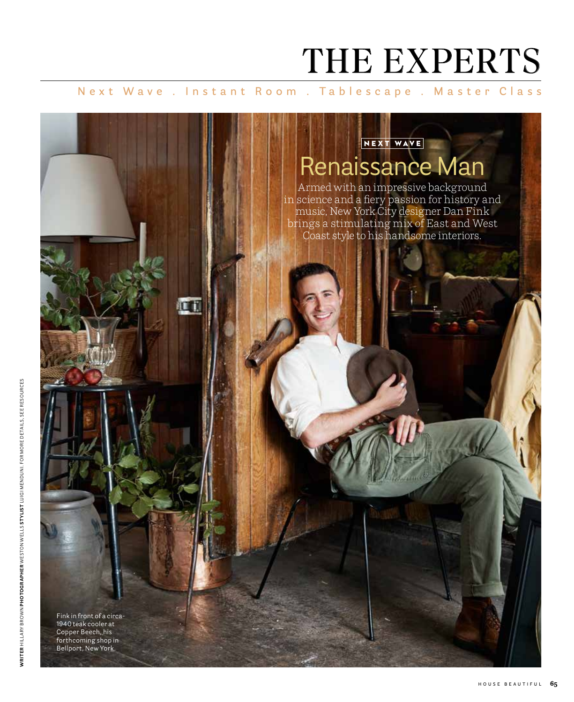## THE EXPERTS

**Next Wave . Instant Room . Tablescape . Master Class**